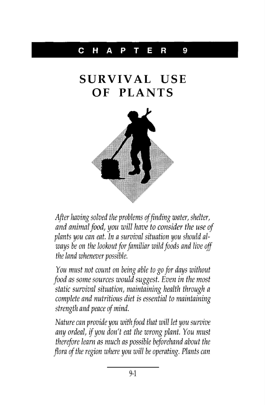## C HAP T E R 9

## **SURVIVAL USE OF PLANTS**



After having solved the problems of finding water, shelter, and animal food, you will have to consider the use of plants you can eat. In a survival situation you should always be on the lookout for familiar wild foods and live off the land whenever possible.

You must not count on being able to go for days without food as some sources would suggest. Even in the most static survival situation, maintaining health through a complete and nutritious diet is essential to maintaining strength and peace of mind.

Nature can provide you with food that will let you survive any ordeal, if you don't eat the wrong plant. You must therefore learn as much as possible beforehand about the flora of the region where you will be operating. Plants can